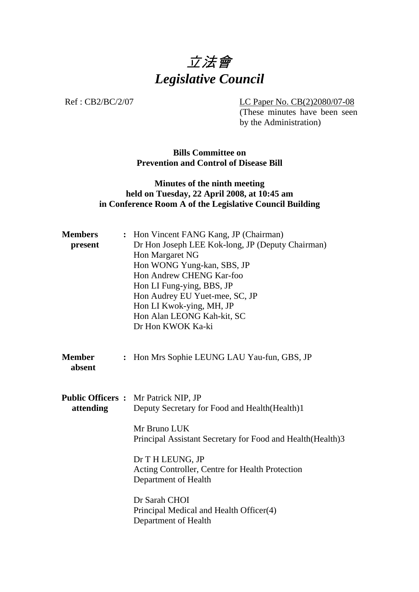

Ref : CB2/BC/2/07 LC Paper No. CB(2)2080/07-08 (These minutes have been seen by the Administration)

> **Bills Committee on Prevention and Control of Disease Bill**

## **Minutes of the ninth meeting held on Tuesday, 22 April 2008, at 10:45 am in Conference Room A of the Legislative Council Building**

| <b>Members</b><br>present                 | : Hon Vincent FANG Kang, JP (Chairman)<br>Dr Hon Joseph LEE Kok-long, JP (Deputy Chairman)<br>Hon Margaret NG<br>Hon WONG Yung-kan, SBS, JP<br>Hon Andrew CHENG Kar-foo<br>Hon LI Fung-ying, BBS, JP<br>Hon Audrey EU Yuet-mee, SC, JP<br>Hon LI Kwok-ying, MH, JP |  |  |
|-------------------------------------------|--------------------------------------------------------------------------------------------------------------------------------------------------------------------------------------------------------------------------------------------------------------------|--|--|
|                                           | Hon Alan LEONG Kah-kit, SC<br>Dr Hon KWOK Ka-ki                                                                                                                                                                                                                    |  |  |
| <b>Member</b><br>$\ddot{\cdot}$<br>absent | Hon Mrs Sophie LEUNG LAU Yau-fun, GBS, JP                                                                                                                                                                                                                          |  |  |
| attending                                 | <b>Public Officers:</b> Mr Patrick NIP, JP<br>Deputy Secretary for Food and Health (Health)1                                                                                                                                                                       |  |  |
|                                           | Mr Bruno LUK<br>Principal Assistant Secretary for Food and Health (Health) 3                                                                                                                                                                                       |  |  |
|                                           | Dr T H LEUNG, JP<br>Acting Controller, Centre for Health Protection<br>Department of Health                                                                                                                                                                        |  |  |
|                                           | Dr Sarah CHOI<br>Principal Medical and Health Officer(4)<br>Department of Health                                                                                                                                                                                   |  |  |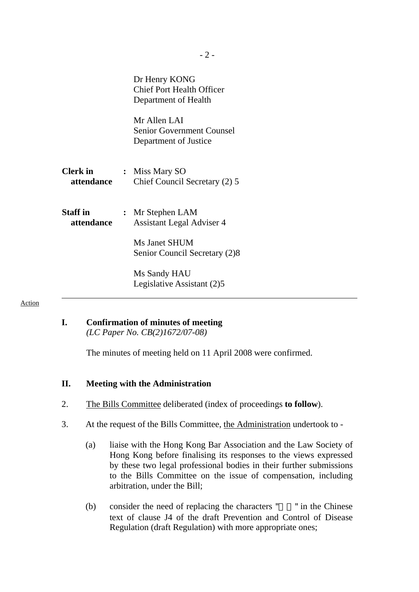|                               | Dr Henry KONG<br><b>Chief Port Health Officer</b><br>Department of Health |
|-------------------------------|---------------------------------------------------------------------------|
|                               | Mr Allen LAI<br><b>Senior Government Counsel</b><br>Department of Justice |
| <b>Clerk</b> in<br>attendance | : Miss Mary SO<br>Chief Council Secretary (2) 5                           |
| <b>Staff</b> in<br>attendance | : Mr Stephen LAM<br><b>Assistant Legal Adviser 4</b>                      |
|                               | Ms Janet SHUM<br>Senior Council Secretary (2)8                            |
|                               | Ms Sandy HAU<br>Legislative Assistant (2)5                                |

#### Action

#### **I. Confirmation of minutes of meeting**   *(LC Paper No. CB(2)1672/07-08)*

The minutes of meeting held on 11 April 2008 were confirmed.

### **II. Meeting with the Administration**

- 2. The Bills Committee deliberated (index of proceedings **to follow**).
- 3. At the request of the Bills Committee, the Administration undertook to
	- (a) liaise with the Hong Kong Bar Association and the Law Society of Hong Kong before finalising its responses to the views expressed by these two legal professional bodies in their further submissions to the Bills Committee on the issue of compensation, including arbitration, under the Bill;
	- (b) consider the need of replacing the characters  $"$  " in the Chinese text of clause J4 of the draft Prevention and Control of Disease Regulation (draft Regulation) with more appropriate ones;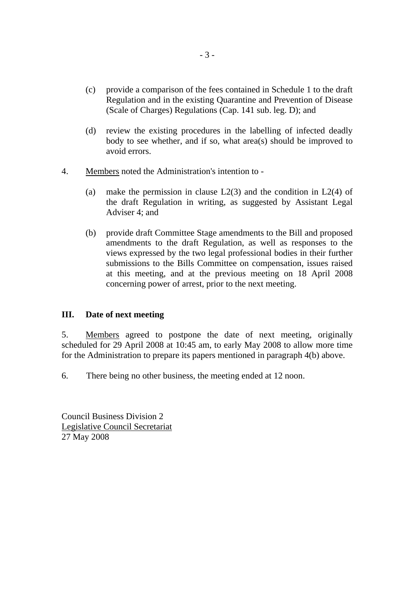- (c) provide a comparison of the fees contained in Schedule 1 to the draft Regulation and in the existing Quarantine and Prevention of Disease (Scale of Charges) Regulations (Cap. 141 sub. leg. D); and
- (d) review the existing procedures in the labelling of infected deadly body to see whether, and if so, what area(s) should be improved to avoid errors.
- 4. Members noted the Administration's intention to
	- (a) make the permission in clause  $L2(3)$  and the condition in  $L2(4)$  of the draft Regulation in writing, as suggested by Assistant Legal Adviser 4; and
	- (b) provide draft Committee Stage amendments to the Bill and proposed amendments to the draft Regulation, as well as responses to the views expressed by the two legal professional bodies in their further submissions to the Bills Committee on compensation, issues raised at this meeting, and at the previous meeting on 18 April 2008 concerning power of arrest, prior to the next meeting.

### **III. Date of next meeting**

5. Members agreed to postpone the date of next meeting, originally scheduled for 29 April 2008 at 10:45 am, to early May 2008 to allow more time for the Administration to prepare its papers mentioned in paragraph 4(b) above.

6. There being no other business, the meeting ended at 12 noon.

Council Business Division 2 Legislative Council Secretariat 27 May 2008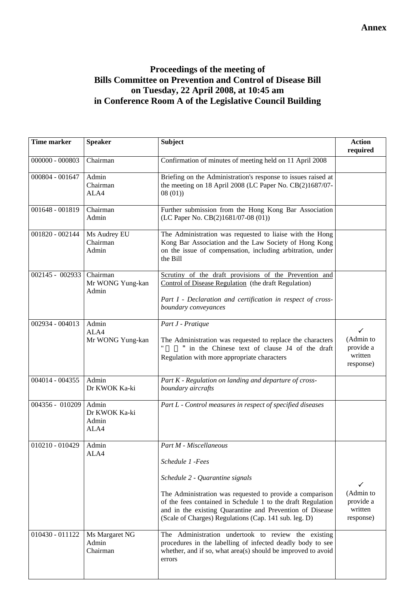# **Proceedings of the meeting of Bills Committee on Prevention and Control of Disease Bill on Tuesday, 22 April 2008, at 10:45 am in Conference Room A of the Legislative Council Building**

| <b>Time marker</b> | <b>Speaker</b>                          | <b>Subject</b>                                                                                                                                                                                                                                                                  | <b>Action</b><br>required                                      |
|--------------------|-----------------------------------------|---------------------------------------------------------------------------------------------------------------------------------------------------------------------------------------------------------------------------------------------------------------------------------|----------------------------------------------------------------|
| 000000 - 000803    | Chairman                                | Confirmation of minutes of meeting held on 11 April 2008                                                                                                                                                                                                                        |                                                                |
| 000804 - 001647    | Admin<br>Chairman<br>ALA4               | Briefing on the Administration's response to issues raised at<br>the meeting on 18 April 2008 (LC Paper No. CB(2)1687/07-<br>08(01)                                                                                                                                             |                                                                |
| 001648 - 001819    | Chairman<br>Admin                       | Further submission from the Hong Kong Bar Association<br>(LC Paper No. CB(2)1681/07-08 (01))                                                                                                                                                                                    |                                                                |
| 001820 - 002144    | Ms Audrey EU<br>Chairman<br>Admin       | The Administration was requested to liaise with the Hong<br>Kong Bar Association and the Law Society of Hong Kong<br>on the issue of compensation, including arbitration, under<br>the Bill                                                                                     |                                                                |
| 002145 - 002933    | Chairman<br>Mr WONG Yung-kan<br>Admin   | Scrutiny of the draft provisions of the Prevention and<br>Control of Disease Regulation (the draft Regulation)<br>Part I - Declaration and certification in respect of cross-<br>boundary conveyances                                                                           |                                                                |
| 002934 - 004013    | Admin<br>ALA4<br>Mr WONG Yung-kan       | Part J - Pratique<br>The Administration was requested to replace the characters<br>in the Chinese text of clause J4 of the draft<br>Regulation with more appropriate characters                                                                                                 | ✓<br>(Admin to<br>provide a<br>written<br>response)            |
| $004014 - 004355$  | Admin<br>Dr KWOK Ka-ki                  | Part K - Regulation on landing and departure of cross-<br>boundary aircrafts                                                                                                                                                                                                    |                                                                |
| 004356 - 010209    | Admin<br>Dr KWOK Ka-ki<br>Admin<br>ALA4 | Part L - Control measures in respect of specified diseases                                                                                                                                                                                                                      |                                                                |
| 010210 - 010429    | Admin<br>ALA4                           | Part M - Miscellaneous<br>Schedule 1 -Fees                                                                                                                                                                                                                                      |                                                                |
|                    |                                         | Schedule 2 - Quarantine signals<br>The Administration was requested to provide a comparison<br>of the fees contained in Schedule 1 to the draft Regulation<br>and in the existing Quarantine and Prevention of Disease<br>(Scale of Charges) Regulations (Cap. 141 sub. leg. D) | $\checkmark$<br>(Admin to<br>provide a<br>written<br>response) |
| 010430 - 011122    | Ms Margaret NG<br>Admin<br>Chairman     | The Administration undertook to review the existing<br>procedures in the labelling of infected deadly body to see<br>whether, and if so, what area(s) should be improved to avoid<br>errors                                                                                     |                                                                |